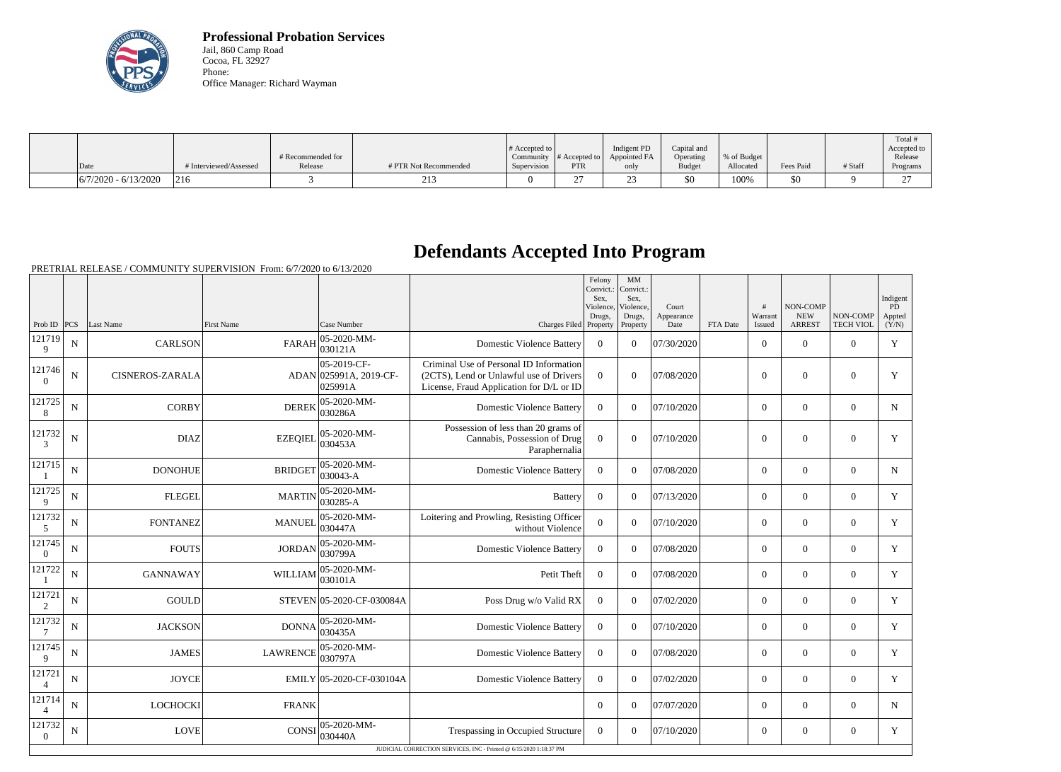

**Professional Probation Services** Jail, 860 Camp Road Cocoa, FL 32927 Phone: Office Manager: Richard Wayman

|                        |                        |                   |                       | $\#$ Accepted to |                  | Indigent PD  | Capital and   |             |           |         | Total !<br>Accepted to |
|------------------------|------------------------|-------------------|-----------------------|------------------|------------------|--------------|---------------|-------------|-----------|---------|------------------------|
|                        |                        | # Recommended for |                       | Community        | $\#$ Accepted to | Appointed FA | Operating     | % of Budget |           |         | Release                |
| Date                   | # Interviewed/Assessed | Release           | # PTR Not Recommended | Supervision      | PTR              | only         | <b>Budget</b> | Allocated   | Fees Paid | # Staff | Programs               |
| $6/7/2020 - 6/13/2020$ | 216                    |                   | $\sim$ 1.7<br>213     |                  |                  |              | \$0           | 100%        | 50        |         | $\sim$<br>∼            |

## **Defendants Accepted Into Program**

PRETRIAL RELEASE / COMMUNITY SUPERVISION From: 6/7/2020 to 6/13/2020

| <b>ARREST</b><br>Prob ID $ PCS $<br>Last Name<br><b>First Name</b><br>Case Number<br>Charges Filed Property<br><b>TECH VIOL</b><br>Property<br>Date<br>FTA Date<br>Issued<br>(Y/N)<br>05-2020-MM-<br>121719<br>$\overline{0}$<br>$\mathbf Y$<br>${\bf N}$<br><b>FARAH</b><br><b>Domestic Violence Battery</b><br>07/30/2020<br>$\mathbf{0}$<br><b>CARLSON</b><br>$\Omega$<br>$\Omega$<br>$\overline{0}$<br> 030121A<br>9<br>$ 05 - 2019 - CF -$<br>Criminal Use of Personal ID Information<br>121746<br>ADAN 025991A, 2019-CF-<br>${\bf N}$<br>(2CTS), Lend or Unlawful use of Drivers<br>$\overline{0}$<br>$\overline{0}$<br>07/08/2020<br>$\overline{0}$<br>$\mathbf{0}$<br>$\mathbf{0}$<br>Y<br><b>CISNEROS-ZARALA</b><br>$\Omega$<br>025991A<br>License, Fraud Application for D/L or ID<br>121725<br>05-2020-MM-<br>$\mathbf N$<br><b>CORBY</b><br><b>DEREK</b><br><b>Domestic Violence Battery</b><br>$\mathbf{0}$<br>$\overline{0}$<br>$\Omega$<br>07/10/2020<br>$\overline{0}$<br>$\overline{0}$<br>$\mathbf N$<br>030286A<br>8<br>Possession of less than 20 grams of<br>121732<br>05-2020-MM-<br>${\bf N}$<br>Cannabis, Possession of Drug<br>$\mathbf{0}$<br>07/10/2020<br>$\overline{0}$<br>$\mathbf{0}$<br>$\mathbf{0}$<br><b>DIAZ</b><br><b>EZEQIEL</b><br>$\theta$<br>Y<br>030453A<br>$\overline{3}$<br>Paraphernalia<br>121715<br>05-2020-MM-<br>N<br><b>BRIDGET</b><br><b>DONOHUE</b><br><b>Domestic Violence Battery</b><br>$\Omega$<br>$\Omega$<br>07/08/2020<br>$\Omega$<br>$\theta$<br>$\Omega$<br>N<br>030043-A<br>121725<br>05-2020-MM-<br><b>FLEGEL</b><br><b>MARTIN</b><br>$\overline{0}$<br>$\mathbf N$<br>$\boldsymbol{0}$<br>$\Omega$<br>07/13/2020<br>$\overline{0}$<br>$\overline{0}$<br>Y<br><b>Battery</b><br>030285-A<br>9<br>121732<br>$ 05 - 2020 - MM -$<br>Loitering and Prowling, Resisting Officer<br>$\overline{0}$<br>Y<br>$\mathbf N$<br><b>FONTANEZ</b><br><b>MANUEL</b><br>$\Omega$<br>07/10/2020<br>$\overline{0}$<br>$\theta$<br>$\Omega$<br>030447A<br>without Violence<br>5<br>121745<br>05-2020-MM-<br>$\mathbf Y$<br><b>FOUTS</b><br><b>JORDAN</b><br>$\overline{0}$<br>$\overline{0}$<br>$\mathbf N$<br><b>Domestic Violence Battery</b><br>$\overline{0}$<br>$\Omega$<br>07/08/2020<br>$\overline{0}$<br>030799A<br>$\overline{0}$<br>121722<br>05-2020-MM-<br><b>GANNAWAY</b><br><b>WILLIAM</b><br>Petit Theft<br>$\mathbf{0}$<br>$\overline{0}$<br>07/08/2020<br>$\overline{0}$<br>$\overline{0}$<br>$\overline{0}$<br>Y<br>N<br> 030101A<br>121721<br><b>GOULD</b><br>$\overline{0}$<br>Y<br>$\mathbf N$<br>STEVEN 05-2020-CF-030084A<br>$\overline{0}$<br>$\Omega$<br>07/02/2020<br>$\overline{0}$<br>$\overline{0}$<br>Poss Drug w/o Valid RX<br>2<br>121732<br>05-2020-MM-<br>$\mathbf N$<br><b>JACKSON</b><br><b>Domestic Violence Battery</b><br>$\mathbf{0}$<br>07/10/2020<br>$\overline{0}$<br>$\mathbf{0}$<br>$\overline{0}$<br>Y<br><b>DONNA</b><br>$\Omega$<br>030435A<br>7<br>121745<br>05-2020-MM-<br>Y<br>$\mathbf N$<br><b>JAMES</b><br><b>LAWRENCE</b><br><b>Domestic Violence Battery</b><br>$\overline{0}$<br>$\Omega$<br>07/08/2020<br>$\overline{0}$<br>$\boldsymbol{0}$<br>$\overline{0}$<br>030797A<br>9<br>121721<br>${\bf N}$<br><b>JOYCE</b><br>EMILY 05-2020-CF-030104A<br>$\overline{0}$<br>Y<br><b>Domestic Violence Battery</b><br>$\overline{0}$<br>$\Omega$<br>07/02/2020<br>$\overline{0}$<br>$\overline{0}$<br>$\overline{4}$<br>121714<br>N<br>LOCHOCKI<br>$\Omega$<br>$\Omega$<br>07/07/2020<br>$\Omega$<br>$\theta$<br>$\Omega$<br><b>FRANK</b><br>$\mathbf N$<br>$\overline{4}$<br>121732<br>$ 05-2020-MM-$<br>CONSI<br><b>LOVE</b><br>Trespassing in Occupied Structure<br>$\mathbf{0}$<br>$\overline{0}$<br>Y<br>$\mathbf N$<br>$\Omega$<br>07/10/2020<br>$\overline{0}$<br>$\overline{0}$<br>030440A<br>$\overline{0}$<br>JUDICIAL CORRECTION SERVICES, INC - Printed @ 6/15/2020 1:18:37 PM |  |  |  | Felony<br>Convict.:<br>Sex.<br>Violence.<br>Drugs, | MM<br>Convict.:<br>Sex,<br>Violence.<br>Drugs, | Court<br>Appearance | #<br>Warrant | NON-COMP<br><b>NEW</b> | NON-COMP | Indigent<br>PD<br>Appted |
|--------------------------------------------------------------------------------------------------------------------------------------------------------------------------------------------------------------------------------------------------------------------------------------------------------------------------------------------------------------------------------------------------------------------------------------------------------------------------------------------------------------------------------------------------------------------------------------------------------------------------------------------------------------------------------------------------------------------------------------------------------------------------------------------------------------------------------------------------------------------------------------------------------------------------------------------------------------------------------------------------------------------------------------------------------------------------------------------------------------------------------------------------------------------------------------------------------------------------------------------------------------------------------------------------------------------------------------------------------------------------------------------------------------------------------------------------------------------------------------------------------------------------------------------------------------------------------------------------------------------------------------------------------------------------------------------------------------------------------------------------------------------------------------------------------------------------------------------------------------------------------------------------------------------------------------------------------------------------------------------------------------------------------------------------------------------------------------------------------------------------------------------------------------------------------------------------------------------------------------------------------------------------------------------------------------------------------------------------------------------------------------------------------------------------------------------------------------------------------------------------------------------------------------------------------------------------------------------------------------------------------------------------------------------------------------------------------------------------------------------------------------------------------------------------------------------------------------------------------------------------------------------------------------------------------------------------------------------------------------------------------------------------------------------------------------------------------------------------------------------------------------------------------------------------------------------------------------------------------------------------------------------------------------------------------------------------------------------------------------------------------------------------------------------------------------------------------------------------------------------------------------------------------------------------------------------------------------------------------------------------------------------------------------------------------------------------------------------------------------------------------------------------------------------------------------------------------------------------------------------------------------------|--|--|--|----------------------------------------------------|------------------------------------------------|---------------------|--------------|------------------------|----------|--------------------------|
|                                                                                                                                                                                                                                                                                                                                                                                                                                                                                                                                                                                                                                                                                                                                                                                                                                                                                                                                                                                                                                                                                                                                                                                                                                                                                                                                                                                                                                                                                                                                                                                                                                                                                                                                                                                                                                                                                                                                                                                                                                                                                                                                                                                                                                                                                                                                                                                                                                                                                                                                                                                                                                                                                                                                                                                                                                                                                                                                                                                                                                                                                                                                                                                                                                                                                                                                                                                                                                                                                                                                                                                                                                                                                                                                                                                                                                                                                            |  |  |  |                                                    |                                                |                     |              |                        |          |                          |
|                                                                                                                                                                                                                                                                                                                                                                                                                                                                                                                                                                                                                                                                                                                                                                                                                                                                                                                                                                                                                                                                                                                                                                                                                                                                                                                                                                                                                                                                                                                                                                                                                                                                                                                                                                                                                                                                                                                                                                                                                                                                                                                                                                                                                                                                                                                                                                                                                                                                                                                                                                                                                                                                                                                                                                                                                                                                                                                                                                                                                                                                                                                                                                                                                                                                                                                                                                                                                                                                                                                                                                                                                                                                                                                                                                                                                                                                                            |  |  |  |                                                    |                                                |                     |              |                        |          |                          |
|                                                                                                                                                                                                                                                                                                                                                                                                                                                                                                                                                                                                                                                                                                                                                                                                                                                                                                                                                                                                                                                                                                                                                                                                                                                                                                                                                                                                                                                                                                                                                                                                                                                                                                                                                                                                                                                                                                                                                                                                                                                                                                                                                                                                                                                                                                                                                                                                                                                                                                                                                                                                                                                                                                                                                                                                                                                                                                                                                                                                                                                                                                                                                                                                                                                                                                                                                                                                                                                                                                                                                                                                                                                                                                                                                                                                                                                                                            |  |  |  |                                                    |                                                |                     |              |                        |          |                          |
|                                                                                                                                                                                                                                                                                                                                                                                                                                                                                                                                                                                                                                                                                                                                                                                                                                                                                                                                                                                                                                                                                                                                                                                                                                                                                                                                                                                                                                                                                                                                                                                                                                                                                                                                                                                                                                                                                                                                                                                                                                                                                                                                                                                                                                                                                                                                                                                                                                                                                                                                                                                                                                                                                                                                                                                                                                                                                                                                                                                                                                                                                                                                                                                                                                                                                                                                                                                                                                                                                                                                                                                                                                                                                                                                                                                                                                                                                            |  |  |  |                                                    |                                                |                     |              |                        |          |                          |
|                                                                                                                                                                                                                                                                                                                                                                                                                                                                                                                                                                                                                                                                                                                                                                                                                                                                                                                                                                                                                                                                                                                                                                                                                                                                                                                                                                                                                                                                                                                                                                                                                                                                                                                                                                                                                                                                                                                                                                                                                                                                                                                                                                                                                                                                                                                                                                                                                                                                                                                                                                                                                                                                                                                                                                                                                                                                                                                                                                                                                                                                                                                                                                                                                                                                                                                                                                                                                                                                                                                                                                                                                                                                                                                                                                                                                                                                                            |  |  |  |                                                    |                                                |                     |              |                        |          |                          |
|                                                                                                                                                                                                                                                                                                                                                                                                                                                                                                                                                                                                                                                                                                                                                                                                                                                                                                                                                                                                                                                                                                                                                                                                                                                                                                                                                                                                                                                                                                                                                                                                                                                                                                                                                                                                                                                                                                                                                                                                                                                                                                                                                                                                                                                                                                                                                                                                                                                                                                                                                                                                                                                                                                                                                                                                                                                                                                                                                                                                                                                                                                                                                                                                                                                                                                                                                                                                                                                                                                                                                                                                                                                                                                                                                                                                                                                                                            |  |  |  |                                                    |                                                |                     |              |                        |          |                          |
|                                                                                                                                                                                                                                                                                                                                                                                                                                                                                                                                                                                                                                                                                                                                                                                                                                                                                                                                                                                                                                                                                                                                                                                                                                                                                                                                                                                                                                                                                                                                                                                                                                                                                                                                                                                                                                                                                                                                                                                                                                                                                                                                                                                                                                                                                                                                                                                                                                                                                                                                                                                                                                                                                                                                                                                                                                                                                                                                                                                                                                                                                                                                                                                                                                                                                                                                                                                                                                                                                                                                                                                                                                                                                                                                                                                                                                                                                            |  |  |  |                                                    |                                                |                     |              |                        |          |                          |
|                                                                                                                                                                                                                                                                                                                                                                                                                                                                                                                                                                                                                                                                                                                                                                                                                                                                                                                                                                                                                                                                                                                                                                                                                                                                                                                                                                                                                                                                                                                                                                                                                                                                                                                                                                                                                                                                                                                                                                                                                                                                                                                                                                                                                                                                                                                                                                                                                                                                                                                                                                                                                                                                                                                                                                                                                                                                                                                                                                                                                                                                                                                                                                                                                                                                                                                                                                                                                                                                                                                                                                                                                                                                                                                                                                                                                                                                                            |  |  |  |                                                    |                                                |                     |              |                        |          |                          |
|                                                                                                                                                                                                                                                                                                                                                                                                                                                                                                                                                                                                                                                                                                                                                                                                                                                                                                                                                                                                                                                                                                                                                                                                                                                                                                                                                                                                                                                                                                                                                                                                                                                                                                                                                                                                                                                                                                                                                                                                                                                                                                                                                                                                                                                                                                                                                                                                                                                                                                                                                                                                                                                                                                                                                                                                                                                                                                                                                                                                                                                                                                                                                                                                                                                                                                                                                                                                                                                                                                                                                                                                                                                                                                                                                                                                                                                                                            |  |  |  |                                                    |                                                |                     |              |                        |          |                          |
|                                                                                                                                                                                                                                                                                                                                                                                                                                                                                                                                                                                                                                                                                                                                                                                                                                                                                                                                                                                                                                                                                                                                                                                                                                                                                                                                                                                                                                                                                                                                                                                                                                                                                                                                                                                                                                                                                                                                                                                                                                                                                                                                                                                                                                                                                                                                                                                                                                                                                                                                                                                                                                                                                                                                                                                                                                                                                                                                                                                                                                                                                                                                                                                                                                                                                                                                                                                                                                                                                                                                                                                                                                                                                                                                                                                                                                                                                            |  |  |  |                                                    |                                                |                     |              |                        |          |                          |
|                                                                                                                                                                                                                                                                                                                                                                                                                                                                                                                                                                                                                                                                                                                                                                                                                                                                                                                                                                                                                                                                                                                                                                                                                                                                                                                                                                                                                                                                                                                                                                                                                                                                                                                                                                                                                                                                                                                                                                                                                                                                                                                                                                                                                                                                                                                                                                                                                                                                                                                                                                                                                                                                                                                                                                                                                                                                                                                                                                                                                                                                                                                                                                                                                                                                                                                                                                                                                                                                                                                                                                                                                                                                                                                                                                                                                                                                                            |  |  |  |                                                    |                                                |                     |              |                        |          |                          |
|                                                                                                                                                                                                                                                                                                                                                                                                                                                                                                                                                                                                                                                                                                                                                                                                                                                                                                                                                                                                                                                                                                                                                                                                                                                                                                                                                                                                                                                                                                                                                                                                                                                                                                                                                                                                                                                                                                                                                                                                                                                                                                                                                                                                                                                                                                                                                                                                                                                                                                                                                                                                                                                                                                                                                                                                                                                                                                                                                                                                                                                                                                                                                                                                                                                                                                                                                                                                                                                                                                                                                                                                                                                                                                                                                                                                                                                                                            |  |  |  |                                                    |                                                |                     |              |                        |          |                          |
|                                                                                                                                                                                                                                                                                                                                                                                                                                                                                                                                                                                                                                                                                                                                                                                                                                                                                                                                                                                                                                                                                                                                                                                                                                                                                                                                                                                                                                                                                                                                                                                                                                                                                                                                                                                                                                                                                                                                                                                                                                                                                                                                                                                                                                                                                                                                                                                                                                                                                                                                                                                                                                                                                                                                                                                                                                                                                                                                                                                                                                                                                                                                                                                                                                                                                                                                                                                                                                                                                                                                                                                                                                                                                                                                                                                                                                                                                            |  |  |  |                                                    |                                                |                     |              |                        |          |                          |
|                                                                                                                                                                                                                                                                                                                                                                                                                                                                                                                                                                                                                                                                                                                                                                                                                                                                                                                                                                                                                                                                                                                                                                                                                                                                                                                                                                                                                                                                                                                                                                                                                                                                                                                                                                                                                                                                                                                                                                                                                                                                                                                                                                                                                                                                                                                                                                                                                                                                                                                                                                                                                                                                                                                                                                                                                                                                                                                                                                                                                                                                                                                                                                                                                                                                                                                                                                                                                                                                                                                                                                                                                                                                                                                                                                                                                                                                                            |  |  |  |                                                    |                                                |                     |              |                        |          |                          |
|                                                                                                                                                                                                                                                                                                                                                                                                                                                                                                                                                                                                                                                                                                                                                                                                                                                                                                                                                                                                                                                                                                                                                                                                                                                                                                                                                                                                                                                                                                                                                                                                                                                                                                                                                                                                                                                                                                                                                                                                                                                                                                                                                                                                                                                                                                                                                                                                                                                                                                                                                                                                                                                                                                                                                                                                                                                                                                                                                                                                                                                                                                                                                                                                                                                                                                                                                                                                                                                                                                                                                                                                                                                                                                                                                                                                                                                                                            |  |  |  |                                                    |                                                |                     |              |                        |          |                          |
|                                                                                                                                                                                                                                                                                                                                                                                                                                                                                                                                                                                                                                                                                                                                                                                                                                                                                                                                                                                                                                                                                                                                                                                                                                                                                                                                                                                                                                                                                                                                                                                                                                                                                                                                                                                                                                                                                                                                                                                                                                                                                                                                                                                                                                                                                                                                                                                                                                                                                                                                                                                                                                                                                                                                                                                                                                                                                                                                                                                                                                                                                                                                                                                                                                                                                                                                                                                                                                                                                                                                                                                                                                                                                                                                                                                                                                                                                            |  |  |  |                                                    |                                                |                     |              |                        |          |                          |